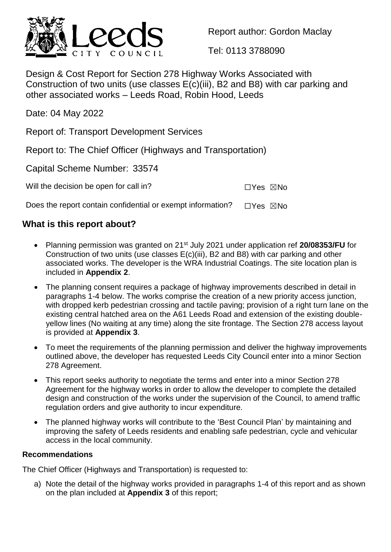

Report author: Gordon Maclay

Tel: 0113 3788090

Design & Cost Report for Section 278 Highway Works Associated with Construction of two units (use classes E(c)(iii), B2 and B8) with car parking and other associated works – Leeds Road, Robin Hood, Leeds

Date: 04 May 2022

Report of: Transport Development Services

Report to: The Chief Officer (Highways and Transportation)

Capital Scheme Number: 33574

Will the decision be open for call in?  $\square Y$ es  $\square$ No

Does the report contain confidential or exempt information?  $\Box$ Yes  $\boxtimes$ No

## **What is this report about?**

- Planning permission was granted on 21<sup>st</sup> July 2021 under application ref 20/08353/FU for Construction of two units (use classes E(c)(iii), B2 and B8) with car parking and other associated works. The developer is the WRA Industrial Coatings. The site location plan is included in **Appendix 2**.
- The planning consent requires a package of highway improvements described in detail in paragraphs 1-4 below. The works comprise the creation of a new priority access junction, with dropped kerb pedestrian crossing and tactile paving; provision of a right turn lane on the existing central hatched area on the A61 Leeds Road and extension of the existing doubleyellow lines (No waiting at any time) along the site frontage. The Section 278 access layout is provided at **Appendix 3**.
- To meet the requirements of the planning permission and deliver the highway improvements outlined above, the developer has requested Leeds City Council enter into a minor Section 278 Agreement.
- This report seeks authority to negotiate the terms and enter into a minor Section 278 Agreement for the highway works in order to allow the developer to complete the detailed design and construction of the works under the supervision of the Council, to amend traffic regulation orders and give authority to incur expenditure.
- The planned highway works will contribute to the 'Best Council Plan' by maintaining and improving the safety of Leeds residents and enabling safe pedestrian, cycle and vehicular access in the local community.

## **Recommendations**

The Chief Officer (Highways and Transportation) is requested to:

a) Note the detail of the highway works provided in paragraphs 1-4 of this report and as shown on the plan included at **Appendix 3** of this report;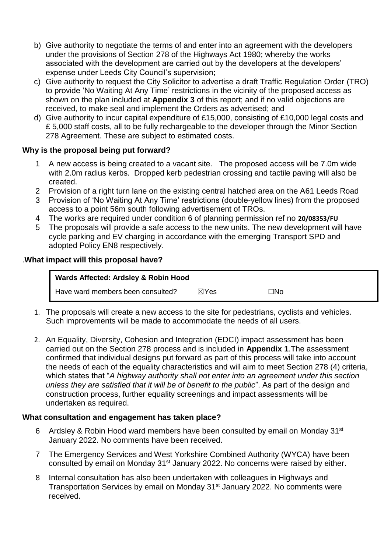- b) Give authority to negotiate the terms of and enter into an agreement with the developers under the provisions of Section 278 of the Highways Act 1980; whereby the works associated with the development are carried out by the developers at the developers' expense under Leeds City Council's supervision;
- c) Give authority to request the City Solicitor to advertise a draft Traffic Regulation Order (TRO) to provide 'No Waiting At Any Time' restrictions in the vicinity of the proposed access as shown on the plan included at **Appendix 3** of this report; and if no valid objections are received, to make seal and implement the Orders as advertised; and
- d) Give authority to incur capital expenditure of £15,000, consisting of £10,000 legal costs and £ 5,000 staff costs, all to be fully rechargeable to the developer through the Minor Section 278 Agreement. These are subject to estimated costs.

## **Why is the proposal being put forward?**

- 1 A new access is being created to a vacant site. The proposed access will be 7.0m wide with 2.0m radius kerbs. Dropped kerb pedestrian crossing and tactile paving will also be created.
- 2 Provision of a right turn lane on the existing central hatched area on the A61 Leeds Road
- 3 Provision of 'No Waiting At Any Time' restrictions (double-yellow lines) from the proposed access to a point 56m south following advertisement of TROs.
- 4 The works are required under condition 6 of planning permission ref no **20/08353/FU**
- 5 The proposals will provide a safe access to the new units. The new development will have cycle parking and EV charging in accordance with the emerging Transport SPD and adopted Policy EN8 respectively.

#### .**What impact will this proposal have?**

| Wards Affected: Ardsley & Robin Hood |                 |     |
|--------------------------------------|-----------------|-----|
| Have ward members been consulted?    | $\boxtimes$ Yes | ⊐No |

- 1. The proposals will create a new access to the site for pedestrians, cyclists and vehicles. Such improvements will be made to accommodate the needs of all users.
- 2. An Equality, Diversity, Cohesion and Integration (EDCI) impact assessment has been carried out on the Section 278 process and is included in **Appendix 1**.The assessment confirmed that individual designs put forward as part of this process will take into account the needs of each of the equality characteristics and will aim to meet Section 278 (4) criteria, which states that "*A highway authority shall not enter into an agreement under this section unless they are satisfied that it will be of benefit to the public*". As part of the design and construction process, further equality screenings and impact assessments will be undertaken as required.

## **What consultation and engagement has taken place?**

- 6 Ardsley & Robin Hood ward members have been consulted by email on Monday 31st January 2022. No comments have been received.
- 7 The Emergency Services and West Yorkshire Combined Authority (WYCA) have been consulted by email on Monday 31st January 2022. No concerns were raised by either.
- 8 Internal consultation has also been undertaken with colleagues in Highways and Transportation Services by email on Monday 31st January 2022. No comments were received.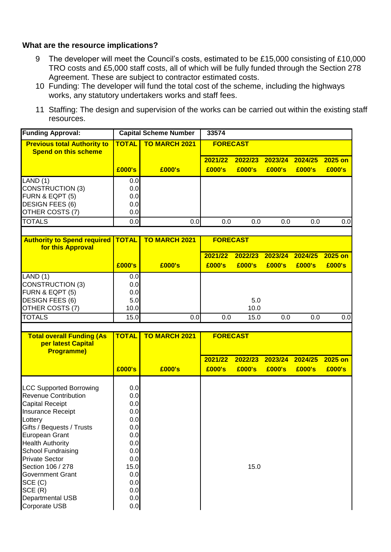#### **What are the resource implications?**

- 9 The developer will meet the Council's costs, estimated to be £15,000 consisting of £10,000 TRO costs and £5,000 staff costs, all of which will be fully funded through the Section 278 Agreement. These are subject to contractor estimated costs.
- 10 Funding: The developer will fund the total cost of the scheme, including the highways works, any statutory undertakers works and staff fees.
- 11 Staffing: The design and supervision of the works can be carried out within the existing staff resources.

| <b>Funding Approval:</b>                                      |              | <b>Capital Scheme Number</b> | 33574           |         |         |         |         |
|---------------------------------------------------------------|--------------|------------------------------|-----------------|---------|---------|---------|---------|
| <b>Previous total Authority to</b>                            | <b>TOTAL</b> | <b>TO MARCH 2021</b>         | <b>FORECAST</b> |         |         |         |         |
| <b>Spend on this scheme</b>                                   |              |                              | 2021/22         | 2022/23 | 2023/24 | 2024/25 | 2025 on |
|                                                               | £000's       | £000's                       | £000's          | £000's  | £000's  | £000's  | £000's  |
| LAND (1)                                                      | 0.0          |                              |                 |         |         |         |         |
| <b>CONSTRUCTION (3)</b>                                       | 0.0          |                              |                 |         |         |         |         |
| FURN & EQPT (5)                                               | 0.0          |                              |                 |         |         |         |         |
| DESIGN FEES (6)                                               | 0.0          |                              |                 |         |         |         |         |
| OTHER COSTS (7)                                               | 0.0          |                              |                 |         |         |         |         |
| <b>TOTALS</b>                                                 | 0.0          | 0.0                          | 0.0             | 0.0     | 0.0     | 0.0     | 0.0     |
|                                                               |              |                              |                 |         |         |         |         |
| <b>Authority to Spend required</b>                            | <b>TOTAL</b> | <b>TO MARCH 2021</b>         | <b>FORECAST</b> |         |         |         |         |
| for this Approval                                             |              |                              |                 |         |         |         |         |
|                                                               |              |                              | 2021/22         | 2022/23 | 2023/24 | 2024/25 | 2025 on |
|                                                               | £000's       | £000's                       | £000's          | £000's  | £000's  | £000's  | £000's  |
| LAND (1)                                                      | 0.0          |                              |                 |         |         |         |         |
| <b>CONSTRUCTION (3)</b>                                       | 0.0          |                              |                 |         |         |         |         |
| FURN & EQPT (5)                                               | 0.0          |                              |                 |         |         |         |         |
| <b>DESIGN FEES (6)</b>                                        | 5.0          |                              |                 | 5.0     |         |         |         |
| OTHER COSTS (7)                                               | 10.0         |                              |                 | 10.0    |         |         |         |
| <b>TOTALS</b>                                                 | 15.0         | 0.0                          | 0.0             | 15.0    | 0.0     | 0.0     | 0.0     |
|                                                               |              |                              |                 |         |         |         |         |
| <b>Total overall Funding (As</b>                              | <b>TOTAL</b> | <b>TO MARCH 2021</b>         | <b>FORECAST</b> |         |         |         |         |
| per latest Capital                                            |              |                              |                 |         |         |         |         |
| <b>Programme)</b>                                             |              |                              | 2021/22         | 2022/23 | 2023/24 | 2024/25 | 2025 on |
|                                                               | £000's       |                              | £000's          |         | £000's  | £000's  |         |
|                                                               |              | £000's                       |                 | £000's  |         |         | £000's  |
|                                                               |              |                              |                 |         |         |         |         |
| <b>LCC Supported Borrowing</b><br><b>Revenue Contribution</b> | 0.0<br>0.0   |                              |                 |         |         |         |         |
| <b>Capital Receipt</b>                                        | 0.0          |                              |                 |         |         |         |         |
| Insurance Receipt                                             | 0.0          |                              |                 |         |         |         |         |
| Lottery                                                       | 0.0          |                              |                 |         |         |         |         |
| Gifts / Bequests / Trusts                                     | 0.0          |                              |                 |         |         |         |         |
| <b>European Grant</b>                                         | 0.0          |                              |                 |         |         |         |         |
| <b>Health Authority</b>                                       | 0.0          |                              |                 |         |         |         |         |
| <b>School Fundraising</b>                                     | 0.0          |                              |                 |         |         |         |         |
| <b>Private Sector</b>                                         | 0.0          |                              |                 |         |         |         |         |
| Section 106 / 278                                             | 15.0         |                              |                 | 15.0    |         |         |         |
| <b>Government Grant</b>                                       | 0.0          |                              |                 |         |         |         |         |
| SCE (C)                                                       | 0.0          |                              |                 |         |         |         |         |
| SCE (R)                                                       | 0.0          |                              |                 |         |         |         |         |
| Departmental USB                                              | 0.0          |                              |                 |         |         |         |         |
| Corporate USB                                                 | 0.0          |                              |                 |         |         |         |         |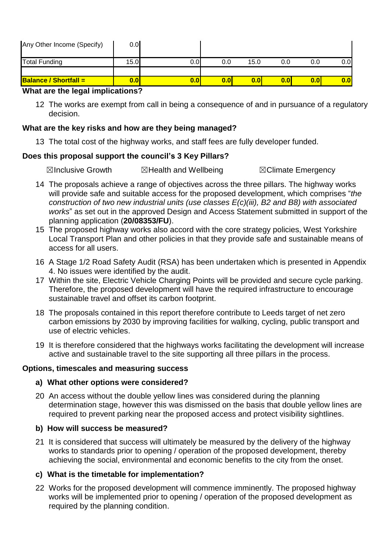| <b>Balance / Shortfall =</b> | 0.0  |      | 0.0 | 0.0  | 0.01 | 0.0 | 0.0 |
|------------------------------|------|------|-----|------|------|-----|-----|
|                              |      |      |     |      |      |     |     |
| <b>Total Funding</b>         | 15.0 | 0.OI | 0.0 | 15.0 | 0.0  | 0.0 | 0.0 |
| Any Other Income (Specify)   | 0.0  |      |     |      |      |     |     |

### **What are the legal implications?**

12 The works are exempt from call in being a consequence of and in pursuance of a regulatory decision.

### **What are the key risks and how are they being managed?**

13 The total cost of the highway works, and staff fees are fully developer funded.

#### **Does this proposal support the council's 3 Key Pillars?**

☒Inclusive Growth ☒Health and Wellbeing ☒Climate Emergency

- 14 The proposals achieve a range of objectives across the three pillars. The highway works will provide safe and suitable access for the proposed development, which comprises "*the construction of two new industrial units (use classes E(c)(iii), B2 and B8) with associated works*" as set out in the approved Design and Access Statement submitted in support of the planning application (**20/08353/FU**).
- 15 The proposed highway works also accord with the core strategy policies, West Yorkshire Local Transport Plan and other policies in that they provide safe and sustainable means of access for all users.
- 16 A Stage 1/2 Road Safety Audit (RSA) has been undertaken which is presented in Appendix 4. No issues were identified by the audit.
- 17 Within the site, Electric Vehicle Charging Points will be provided and secure cycle parking. Therefore, the proposed development will have the required infrastructure to encourage sustainable travel and offset its carbon footprint.
- 18 The proposals contained in this report therefore contribute to Leeds target of net zero carbon emissions by 2030 by improving facilities for walking, cycling, public transport and use of electric vehicles.
- 19 It is therefore considered that the highways works facilitating the development will increase active and sustainable travel to the site supporting all three pillars in the process.

#### **Options, timescales and measuring success**

## **a) What other options were considered?**

20 An access without the double yellow lines was considered during the planning determination stage, however this was dismissed on the basis that double yellow lines are required to prevent parking near the proposed access and protect visibility sightlines.

## **b) How will success be measured?**

21 It is considered that success will ultimately be measured by the delivery of the highway works to standards prior to opening / operation of the proposed development, thereby achieving the social, environmental and economic benefits to the city from the onset.

## **c) What is the timetable for implementation?**

22 Works for the proposed development will commence imminently. The proposed highway works will be implemented prior to opening / operation of the proposed development as required by the planning condition.